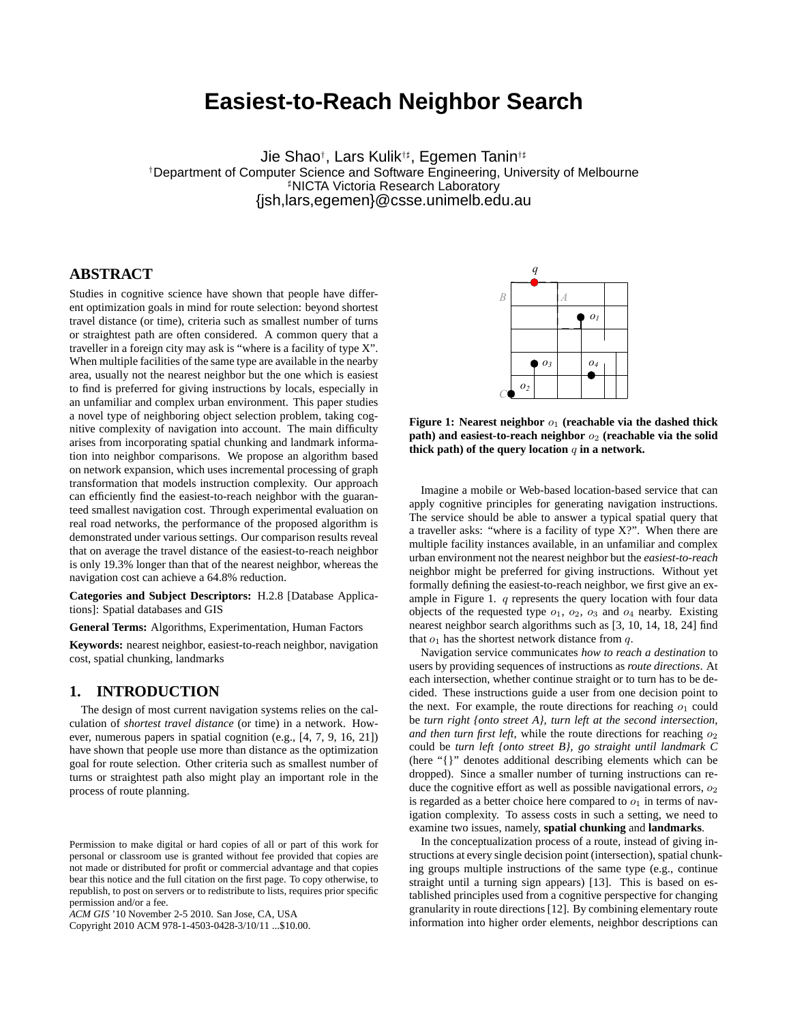# **Easiest-to-Reach Neighbor Search**

Jie Shao†, Lars Kulik†‡, Egemen Tanin†‡ †Department of Computer Science and Software Engineering, University of Melbourne <sup>#</sup>NICTA Victoria Research Laboratory {jsh,lars,egemen}@csse.unimelb.edu.au

# **ABSTRACT**

Studies in cognitive science have shown that people have different optimization goals in mind for route selection: beyond shortest travel distance (or time), criteria such as smallest number of turns or straightest path are often considered. A common query that a traveller in a foreign city may ask is "where is a facility of type X". When multiple facilities of the same type are available in the nearby area, usually not the nearest neighbor but the one which is easiest to find is preferred for giving instructions by locals, especially in an unfamiliar and complex urban environment. This paper studies a novel type of neighboring object selection problem, taking cognitive complexity of navigation into account. The main difficulty arises from incorporating spatial chunking and landmark information into neighbor comparisons. We propose an algorithm based on network expansion, which uses incremental processing of graph transformation that models instruction complexity. Our approach can efficiently find the easiest-to-reach neighbor with the guaranteed smallest navigation cost. Through experimental evaluation on real road networks, the performance of the proposed algorithm is demonstrated under various settings. Our comparison results reveal that on average the travel distance of the easiest-to-reach neighbor is only 19.3% longer than that of the nearest neighbor, whereas the navigation cost can achieve a 64.8% reduction.

**Categories and Subject Descriptors:** H.2.8 [Database Applications]: Spatial databases and GIS

**General Terms:** Algorithms, Experimentation, Human Factors

**Keywords:** nearest neighbor, easiest-to-reach neighbor, navigation cost, spatial chunking, landmarks

## **1. INTRODUCTION**

The design of most current navigation systems relies on the calculation of *shortest travel distance* (or time) in a network. However, numerous papers in spatial cognition (e.g., [4, 7, 9, 16, 21]) have shown that people use more than distance as the optimization goal for route selection. Other criteria such as smallest number of turns or straightest path also might play an important role in the process of route planning.

Copyright 2010 ACM 978-1-4503-0428-3/10/11 ...\$10.00.



**Figure 1:** Nearest neighbor  $o_1$  (reachable via the dashed thick  $\mathbf{path}$ ) and easiest-to-reach neighbor  $o_2$  (reachable via the solid thick path) of the query location  $q$  in a network.

Imagine a mobile or Web-based location-based service that can apply cognitive principles for generating navigation instructions. The service should be able to answer a typical spatial query that a traveller asks: "where is a facility of type X?". When there are multiple facility instances available, in an unfamiliar and complex urban environment not the nearest neighbor but the *easiest-to-reach* neighbor might be preferred for giving instructions. Without yet formally defining the easiest-to-reach neighbor, we first give an example in Figure 1.  $q$  represents the query location with four data objects of the requested type  $o_1$ ,  $o_2$ ,  $o_3$  and  $o_4$  nearby. Existing nearest neighbor search algorithms such as [3, 10, 14, 18, 24] find that  $o_1$  has the shortest network distance from  $q$ .

Navigation service communicates *how to reach a destination* to users by providing sequences of instructions as *route directions*. At each intersection, whether continue straight or to turn has to be decided. These instructions guide a user from one decision point to the next. For example, the route directions for reaching  $\rho_1$  could be *turn right {onto street A}, turn left at the second intersection, and then turn first left*, while the route directions for reaching  $o_2$ could be *turn left {onto street B}, go straight until landmark C* (here "{}" denotes additional describing elements which can be dropped). Since a smaller number of turning instructions can reduce the cognitive effort as well as possible navigational errors,  $o_2$ is regarded as a better choice here compared to  $o_1$  in terms of navigation complexity. To assess costs in such a setting, we need to examine two issues, namely, **spatial chunking** and **landmarks**.

In the conceptualization process of a route, instead of giving instructions at every single decision point (intersection), spatial chunking groups multiple instructions of the same type (e.g., continue straight until a turning sign appears) [13]. This is based on established principles used from a cognitive perspective for changing granularity in route directions [12]. By combining elementary route information into higher order elements, neighbor descriptions can

Permission to make digital or hard copies of all or part of this work for personal or classroom use is granted without fee provided that copies are not made or distributed for profit or commercial advantage and that copies bear this notice and the full citation on the first page. To copy otherwise, to republish, to post on servers or to redistribute to lists, requires prior specific permission and/or a fee.

*ACM GIS* '10 November 2-5 2010. San Jose, CA, USA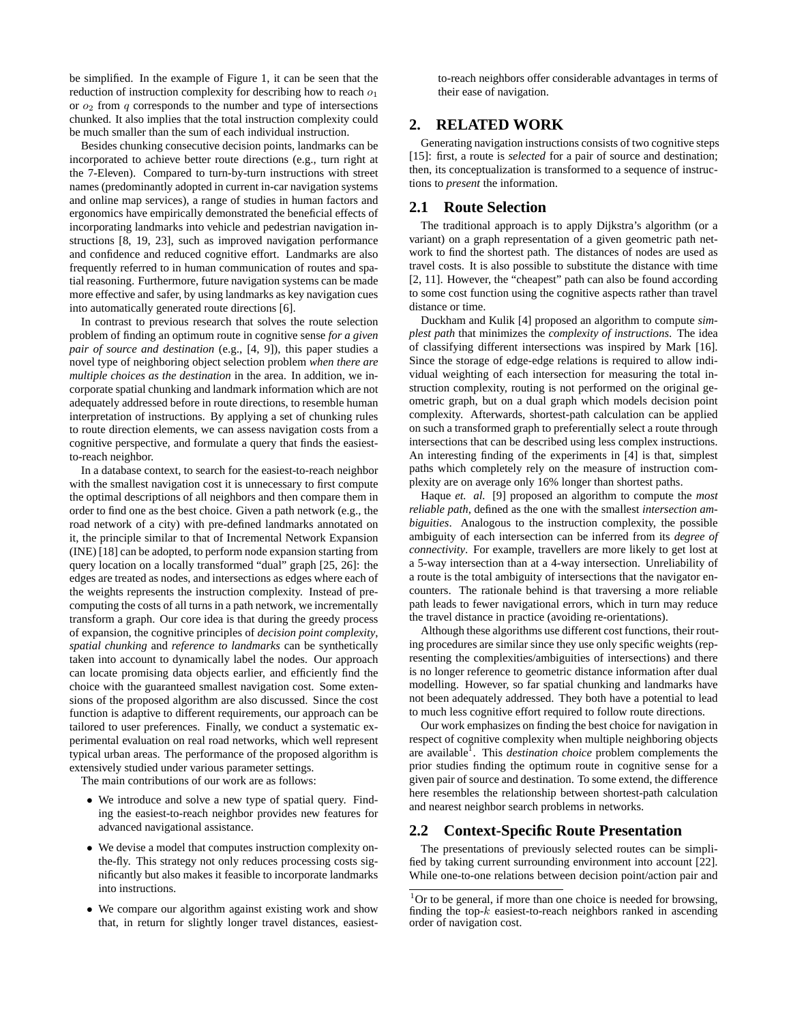be simplified. In the example of Figure 1, it can be seen that the reduction of instruction complexity for describing how to reach  $o_1$ or  $o_2$  from q corresponds to the number and type of intersections chunked. It also implies that the total instruction complexity could be much smaller than the sum of each individual instruction.

Besides chunking consecutive decision points, landmarks can be incorporated to achieve better route directions (e.g., turn right at the 7-Eleven). Compared to turn-by-turn instructions with street names (predominantly adopted in current in-car navigation systems and online map services), a range of studies in human factors and ergonomics have empirically demonstrated the beneficial effects of incorporating landmarks into vehicle and pedestrian navigation instructions [8, 19, 23], such as improved navigation performance and confidence and reduced cognitive effort. Landmarks are also frequently referred to in human communication of routes and spatial reasoning. Furthermore, future navigation systems can be made more effective and safer, by using landmarks as key navigation cues into automatically generated route directions [6].

In contrast to previous research that solves the route selection problem of finding an optimum route in cognitive sense *for a given pair of source and destination* (e.g., [4, 9]), this paper studies a novel type of neighboring object selection problem *when there are multiple choices as the destination* in the area. In addition, we incorporate spatial chunking and landmark information which are not adequately addressed before in route directions, to resemble human interpretation of instructions. By applying a set of chunking rules to route direction elements, we can assess navigation costs from a cognitive perspective, and formulate a query that finds the easiestto-reach neighbor.

In a database context, to search for the easiest-to-reach neighbor with the smallest navigation cost it is unnecessary to first compute the optimal descriptions of all neighbors and then compare them in order to find one as the best choice. Given a path network (e.g., the road network of a city) with pre-defined landmarks annotated on it, the principle similar to that of Incremental Network Expansion (INE) [18] can be adopted, to perform node expansion starting from query location on a locally transformed "dual" graph [25, 26]: the edges are treated as nodes, and intersections as edges where each of the weights represents the instruction complexity. Instead of precomputing the costs of all turns in a path network, we incrementally transform a graph. Our core idea is that during the greedy process of expansion, the cognitive principles of *decision point complexity*, *spatial chunking* and *reference to landmarks* can be synthetically taken into account to dynamically label the nodes. Our approach can locate promising data objects earlier, and efficiently find the choice with the guaranteed smallest navigation cost. Some extensions of the proposed algorithm are also discussed. Since the cost function is adaptive to different requirements, our approach can be tailored to user preferences. Finally, we conduct a systematic experimental evaluation on real road networks, which well represent typical urban areas. The performance of the proposed algorithm is extensively studied under various parameter settings.

The main contributions of our work are as follows:

- We introduce and solve a new type of spatial query. Finding the easiest-to-reach neighbor provides new features for advanced navigational assistance.
- We devise a model that computes instruction complexity onthe-fly. This strategy not only reduces processing costs significantly but also makes it feasible to incorporate landmarks into instructions.
- We compare our algorithm against existing work and show that, in return for slightly longer travel distances, easiest-

to-reach neighbors offer considerable advantages in terms of their ease of navigation.

# **2. RELATED WORK**

Generating navigation instructions consists of two cognitive steps [15]: first, a route is *selected* for a pair of source and destination; then, its conceptualization is transformed to a sequence of instructions to *present* the information.

#### **2.1 Route Selection**

The traditional approach is to apply Dijkstra's algorithm (or a variant) on a graph representation of a given geometric path network to find the shortest path. The distances of nodes are used as travel costs. It is also possible to substitute the distance with time [2, 11]. However, the "cheapest" path can also be found according to some cost function using the cognitive aspects rather than travel distance or time.

Duckham and Kulik [4] proposed an algorithm to compute *simplest path* that minimizes the *complexity of instructions*. The idea of classifying different intersections was inspired by Mark [16]. Since the storage of edge-edge relations is required to allow individual weighting of each intersection for measuring the total instruction complexity, routing is not performed on the original geometric graph, but on a dual graph which models decision point complexity. Afterwards, shortest-path calculation can be applied on such a transformed graph to preferentially select a route through intersections that can be described using less complex instructions. An interesting finding of the experiments in [4] is that, simplest paths which completely rely on the measure of instruction complexity are on average only 16% longer than shortest paths.

Haque *et. al.* [9] proposed an algorithm to compute the *most reliable path*, defined as the one with the smallest *intersection ambiguities*. Analogous to the instruction complexity, the possible ambiguity of each intersection can be inferred from its *degree of connectivity*. For example, travellers are more likely to get lost at a 5-way intersection than at a 4-way intersection. Unreliability of a route is the total ambiguity of intersections that the navigator encounters. The rationale behind is that traversing a more reliable path leads to fewer navigational errors, which in turn may reduce the travel distance in practice (avoiding re-orientations).

Although these algorithms use different cost functions, their routing procedures are similar since they use only specific weights (representing the complexities/ambiguities of intersections) and there is no longer reference to geometric distance information after dual modelling. However, so far spatial chunking and landmarks have not been adequately addressed. They both have a potential to lead to much less cognitive effort required to follow route directions.

Our work emphasizes on finding the best choice for navigation in respect of cognitive complexity when multiple neighboring objects are available<sup>1</sup>. This *destination choice* problem complements the prior studies finding the optimum route in cognitive sense for a given pair of source and destination. To some extend, the difference here resembles the relationship between shortest-path calculation and nearest neighbor search problems in networks.

## **2.2 Context-Specific Route Presentation**

The presentations of previously selected routes can be simplified by taking current surrounding environment into account [22]. While one-to-one relations between decision point/action pair and

<sup>&</sup>lt;sup>1</sup>Or to be general, if more than one choice is needed for browsing, finding the top- $k$  easiest-to-reach neighbors ranked in ascending order of navigation cost.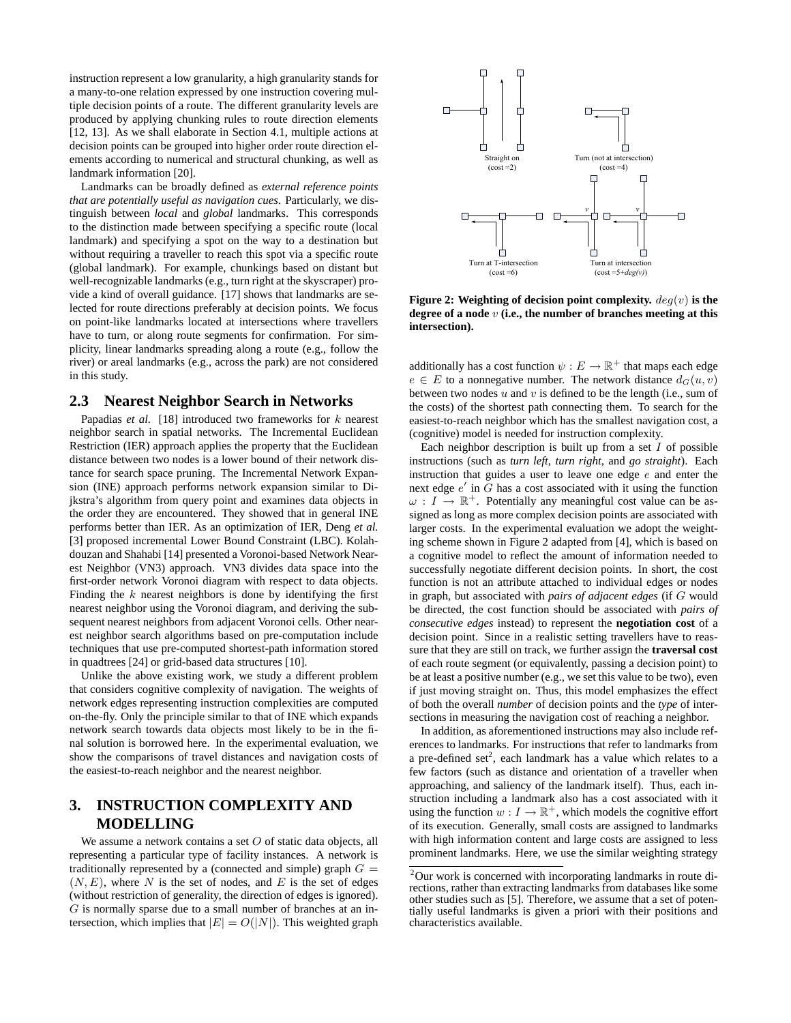instruction represent a low granularity, a high granularity stands for a many-to-one relation expressed by one instruction covering multiple decision points of a route. The different granularity levels are produced by applying chunking rules to route direction elements [12, 13]. As we shall elaborate in Section 4.1, multiple actions at decision points can be grouped into higher order route direction elements according to numerical and structural chunking, as well as landmark information [20].

Landmarks can be broadly defined as *external reference points that are potentially useful as navigation cues*. Particularly, we distinguish between *local* and *global* landmarks. This corresponds to the distinction made between specifying a specific route (local landmark) and specifying a spot on the way to a destination but without requiring a traveller to reach this spot via a specific route (global landmark). For example, chunkings based on distant but well-recognizable landmarks (e.g., turn right at the skyscraper) provide a kind of overall guidance. [17] shows that landmarks are selected for route directions preferably at decision points. We focus on point-like landmarks located at intersections where travellers have to turn, or along route segments for confirmation. For simplicity, linear landmarks spreading along a route (e.g., follow the river) or areal landmarks (e.g., across the park) are not considered in this study.

#### **2.3 Nearest Neighbor Search in Networks**

Papadias *et al.* [18] introduced two frameworks for *k* nearest neighbor search in spatial networks. The Incremental Euclidean Restriction (IER) approach applies the property that the Euclidean distance between two nodes is a lower bound of their network distance for search space pruning. The Incremental Network Expansion (INE) approach performs network expansion similar to Dijkstra's algorithm from query point and examines data objects in the order they are encountered. They showed that in general INE performs better than IER. As an optimization of IER, Deng *et al.* [3] proposed incremental Lower Bound Constraint (LBC). Kolahdouzan and Shahabi [14] presented a Voronoi-based Network Nearest Neighbor (VN3) approach. VN3 divides data space into the first-order network Voronoi diagram with respect to data objects. Finding the  $k$  nearest neighbors is done by identifying the first nearest neighbor using the Voronoi diagram, and deriving the subsequent nearest neighbors from adjacent Voronoi cells. Other nearest neighbor search algorithms based on pre-computation include techniques that use pre-computed shortest-path information stored in quadtrees [24] or grid-based data structures [10].

Unlike the above existing work, we study a different problem that considers cognitive complexity of navigation. The weights of network edges representing instruction complexities are computed on-the-fly. Only the principle similar to that of INE which expands network search towards data objects most likely to be in the final solution is borrowed here. In the experimental evaluation, we show the comparisons of travel distances and navigation costs of the easiest-to-reach neighbor and the nearest neighbor.

# **3. INSTRUCTION COMPLEXITY AND MODELLING**

We assume a network contains a set  $O$  of static data objects, all representing a particular type of facility instances. A network is traditionally represented by a (connected and simple) graph  $G =$  $(N, E)$ , where N is the set of nodes, and E is the set of edges (without restriction of generality, the direction of edges is ignored).  $G$  is normally sparse due to a small number of branches at an intersection, which implies that  $|E| = O(|N|)$ . This weighted graph



**Figure 2: Weighting of decision point complexity.** deg(v) **is the degree of a node** v **(i.e., the number of branches meeting at this intersection).**

additionally has a cost function  $\psi : E \to \mathbb{R}^+$  that maps each edge  $e \in E$  to a nonnegative number. The network distance  $d_G(u, v)$ between two nodes  $u$  and  $v$  is defined to be the length (i.e., sum of the costs) of the shortest path connecting them. To search for the easiest-to-reach neighbor which has the smallest navigation cost, a (cognitive) model is needed for instruction complexity.

Each neighbor description is built up from a set  $I$  of possible instructions (such as *turn left*, *turn right*, and *go straight*). Each instruction that guides a user to leave one edge  $e$  and enter the next edge  $e'$  in  $\tilde{G}$  has a cost associated with it using the function  $\omega : I \to \mathbb{R}^+$ . Potentially any meaningful cost value can be assigned as long as more complex decision points are associated with larger costs. In the experimental evaluation we adopt the weighting scheme shown in Figure 2 adapted from [4], which is based on a cognitive model to reflect the amount of information needed to successfully negotiate different decision points. In short, the cost function is not an attribute attached to individual edges or nodes in graph, but associated with *pairs of adjacent edges* (if G would be directed, the cost function should be associated with *pairs of consecutive edges* instead) to represent the **negotiation cost** of a decision point. Since in a realistic setting travellers have to reassure that they are still on track, we further assign the **traversal cost** of each route segment (or equivalently, passing a decision point) to be at least a positive number (e.g., we set this value to be two), even if just moving straight on. Thus, this model emphasizes the effect of both the overall *number* of decision points and the *type* of intersections in measuring the navigation cost of reaching a neighbor.

In addition, as aforementioned instructions may also include references to landmarks. For instructions that refer to landmarks from a pre-defined set<sup>2</sup>, each landmark has a value which relates to a few factors (such as distance and orientation of a traveller when approaching, and saliency of the landmark itself). Thus, each instruction including a landmark also has a cost associated with it using the function  $w: I \to \mathbb{R}^+$ , which models the cognitive effort of its execution. Generally, small costs are assigned to landmarks with high information content and large costs are assigned to less prominent landmarks. Here, we use the similar weighting strategy

<sup>2</sup>Our work is concerned with incorporating landmarks in route directions, rather than extracting landmarks from databases like some other studies such as [5]. Therefore, we assume that a set of potentially useful landmarks is given a priori with their positions and characteristics available.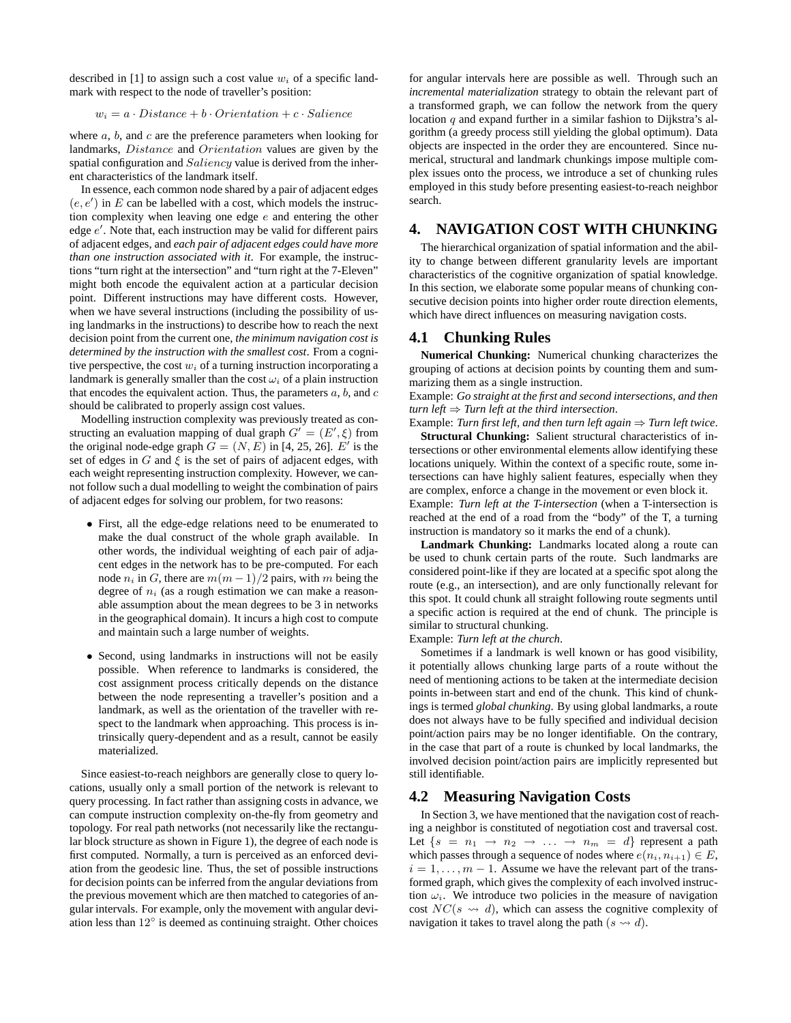described in [1] to assign such a cost value  $w_i$  of a specific landmark with respect to the node of traveller's position:

#### $w_i = a \cdot Distance + b \cdot Orientation + c \cdot Salience$

where  $a, b$ , and  $c$  are the preference parameters when looking for landmarks, Distance and Orientation values are given by the spatial configuration and  $Saliency$  value is derived from the inherent characteristics of the landmark itself.

In essence, each common node shared by a pair of adjacent edges  $(e, e')$  in E can be labelled with a cost, which models the instruction complexity when leaving one edge e and entering the other edge e'. Note that, each instruction may be valid for different pairs of adjacent edges, and *each pair of adjacent edges could have more than one instruction associated with it*. For example, the instructions "turn right at the intersection" and "turn right at the 7-Eleven" might both encode the equivalent action at a particular decision point. Different instructions may have different costs. However, when we have several instructions (including the possibility of using landmarks in the instructions) to describe how to reach the next decision point from the current one, *the minimum navigation cost is determined by the instruction with the smallest cost*. From a cognitive perspective, the cost  $w_i$  of a turning instruction incorporating a landmark is generally smaller than the cost  $\omega_i$  of a plain instruction that encodes the equivalent action. Thus, the parameters  $a, b$ , and  $c$ should be calibrated to properly assign cost values.

Modelling instruction complexity was previously treated as constructing an evaluation mapping of dual graph  $G' = (E', \xi)$  from the original node-edge graph  $G = (N, E)$  in [4, 25, 26]. E' is the set of edges in  $G$  and  $\xi$  is the set of pairs of adjacent edges, with each weight representing instruction complexity. However, we cannot follow such a dual modelling to weight the combination of pairs of adjacent edges for solving our problem, for two reasons:

- First, all the edge-edge relations need to be enumerated to make the dual construct of the whole graph available. In other words, the individual weighting of each pair of adjacent edges in the network has to be pre-computed. For each node  $n_i$  in G, there are  $m(m-1)/2$  pairs, with m being the degree of  $n_i$  (as a rough estimation we can make a reasonable assumption about the mean degrees to be 3 in networks in the geographical domain). It incurs a high cost to compute and maintain such a large number of weights.
- Second, using landmarks in instructions will not be easily possible. When reference to landmarks is considered, the cost assignment process critically depends on the distance between the node representing a traveller's position and a landmark, as well as the orientation of the traveller with respect to the landmark when approaching. This process is intrinsically query-dependent and as a result, cannot be easily materialized.

Since easiest-to-reach neighbors are generally close to query locations, usually only a small portion of the network is relevant to query processing. In fact rather than assigning costs in advance, we can compute instruction complexity on-the-fly from geometry and topology. For real path networks (not necessarily like the rectangular block structure as shown in Figure 1), the degree of each node is first computed. Normally, a turn is perceived as an enforced deviation from the geodesic line. Thus, the set of possible instructions for decision points can be inferred from the angular deviations from the previous movement which are then matched to categories of angular intervals. For example, only the movement with angular deviation less than 12◦ is deemed as continuing straight. Other choices

for angular intervals here are possible as well. Through such an *incremental materialization* strategy to obtain the relevant part of a transformed graph, we can follow the network from the query location  $q$  and expand further in a similar fashion to Dijkstra's algorithm (a greedy process still yielding the global optimum). Data objects are inspected in the order they are encountered. Since numerical, structural and landmark chunkings impose multiple complex issues onto the process, we introduce a set of chunking rules employed in this study before presenting easiest-to-reach neighbor search.

# **4. NAVIGATION COST WITH CHUNKING**

The hierarchical organization of spatial information and the ability to change between different granularity levels are important characteristics of the cognitive organization of spatial knowledge. In this section, we elaborate some popular means of chunking consecutive decision points into higher order route direction elements, which have direct influences on measuring navigation costs.

#### **4.1 Chunking Rules**

**Numerical Chunking:** Numerical chunking characterizes the grouping of actions at decision points by counting them and summarizing them as a single instruction.

Example: *Go straight at the first and second intersections, and then turn left* ⇒ *Turn left at the third intersection*.

Example: *Turn first left, and then turn left again*  $\Rightarrow$  *Turn left twice.* **Structural Chunking:** Salient structural characteristics of intersections or other environmental elements allow identifying these locations uniquely. Within the context of a specific route, some intersections can have highly salient features, especially when they are complex, enforce a change in the movement or even block it.

Example: *Turn left at the T-intersection* (when a T-intersection is reached at the end of a road from the "body" of the T, a turning instruction is mandatory so it marks the end of a chunk).

**Landmark Chunking:** Landmarks located along a route can be used to chunk certain parts of the route. Such landmarks are considered point-like if they are located at a specific spot along the route (e.g., an intersection), and are only functionally relevant for this spot. It could chunk all straight following route segments until a specific action is required at the end of chunk. The principle is similar to structural chunking.

Example: *Turn left at the church*.

Sometimes if a landmark is well known or has good visibility, it potentially allows chunking large parts of a route without the need of mentioning actions to be taken at the intermediate decision points in-between start and end of the chunk. This kind of chunkings is termed *global chunking*. By using global landmarks, a route does not always have to be fully specified and individual decision point/action pairs may be no longer identifiable. On the contrary, in the case that part of a route is chunked by local landmarks, the involved decision point/action pairs are implicitly represented but still identifiable.

## **4.2 Measuring Navigation Costs**

In Section 3, we have mentioned that the navigation cost of reaching a neighbor is constituted of negotiation cost and traversal cost. Let  $\{s = n_1 \rightarrow n_2 \rightarrow \ldots \rightarrow n_m = d\}$  represent a path which passes through a sequence of nodes where  $e(n_i, n_{i+1}) \in E$ ,  $i = 1, \ldots, m - 1$ . Assume we have the relevant part of the transformed graph, which gives the complexity of each involved instruction  $\omega_i$ . We introduce two policies in the measure of navigation cost  $NC(s \rightsquigarrow d)$ , which can assess the cognitive complexity of navigation it takes to travel along the path  $(s \leadsto d)$ .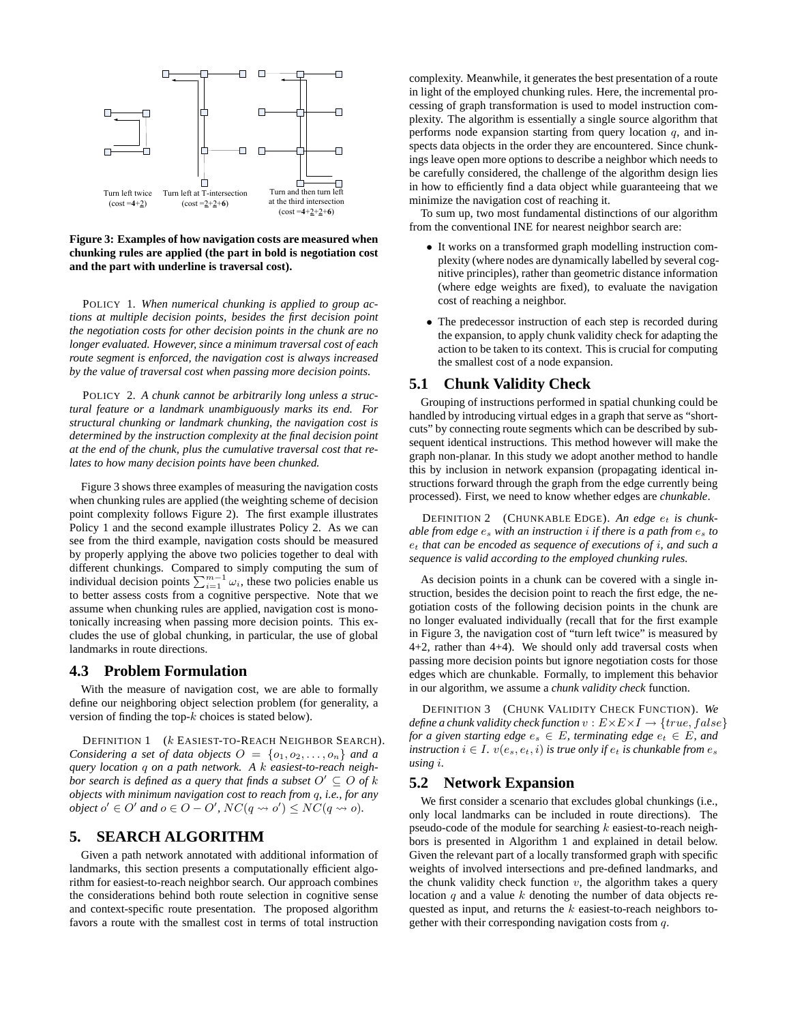

**Figure 3: Examples of how navigation costs are measured when chunking rules are applied (the part in bold is negotiation cost and the part with underline is traversal cost).**

POLICY 1. *When numerical chunking is applied to group actions at multiple decision points, besides the first decision point the negotiation costs for other decision points in the chunk are no longer evaluated. However, since a minimum traversal cost of each route segment is enforced, the navigation cost is always increased by the value of traversal cost when passing more decision points.*

POLICY 2. *A chunk cannot be arbitrarily long unless a structural feature or a landmark unambiguously marks its end. For structural chunking or landmark chunking, the navigation cost is determined by the instruction complexity at the final decision point at the end of the chunk, plus the cumulative traversal cost that relates to how many decision points have been chunked.*

Figure 3 shows three examples of measuring the navigation costs when chunking rules are applied (the weighting scheme of decision point complexity follows Figure 2). The first example illustrates Policy 1 and the second example illustrates Policy 2. As we can see from the third example, navigation costs should be measured by properly applying the above two policies together to deal with different chunkings. Compared to simply computing the sum of individual decision points  $\sum_{i=1}^{m-1} \omega_i$ , these two policies enable us to better assess costs from a cognitive perspective. Note that we assume when chunking rules are applied, navigation cost is monotonically increasing when passing more decision points. This excludes the use of global chunking, in particular, the use of global landmarks in route directions.

#### **4.3 Problem Formulation**

With the measure of navigation cost, we are able to formally define our neighboring object selection problem (for generality, a version of finding the top- $k$  choices is stated below).

DEFINITION 1 (k EASIEST-TO-REACH NEIGHBOR SEARCH). *Considering a set of data objects*  $O = \{o_1, o_2, \ldots, o_n\}$  *and a query location* q *on a path network. A* k *easiest-to-reach neighbor search is defined as a query that finds a subset*  $O' \subseteq O$  *of k objects with minimum navigation cost to reach from* q*, i.e., for any object*  $o' \in O'$  and  $o \in O - O'$ ,  $NC(q \rightsquigarrow o') \le NC(q \rightsquigarrow o)$ .

#### **5. SEARCH ALGORITHM**

Given a path network annotated with additional information of landmarks, this section presents a computationally efficient algorithm for easiest-to-reach neighbor search. Our approach combines the considerations behind both route selection in cognitive sense and context-specific route presentation. The proposed algorithm favors a route with the smallest cost in terms of total instruction

complexity. Meanwhile, it generates the best presentation of a route in light of the employed chunking rules. Here, the incremental processing of graph transformation is used to model instruction complexity. The algorithm is essentially a single source algorithm that performs node expansion starting from query location  $q$ , and inspects data objects in the order they are encountered. Since chunkings leave open more options to describe a neighbor which needs to be carefully considered, the challenge of the algorithm design lies in how to efficiently find a data object while guaranteeing that we minimize the navigation cost of reaching it.

To sum up, two most fundamental distinctions of our algorithm from the conventional INE for nearest neighbor search are:

- It works on a transformed graph modelling instruction complexity (where nodes are dynamically labelled by several cognitive principles), rather than geometric distance information (where edge weights are fixed), to evaluate the navigation cost of reaching a neighbor.
- The predecessor instruction of each step is recorded during the expansion, to apply chunk validity check for adapting the action to be taken to its context. This is crucial for computing the smallest cost of a node expansion.

#### **5.1 Chunk Validity Check**

Grouping of instructions performed in spatial chunking could be handled by introducing virtual edges in a graph that serve as "shortcuts" by connecting route segments which can be described by subsequent identical instructions. This method however will make the graph non-planar. In this study we adopt another method to handle this by inclusion in network expansion (propagating identical instructions forward through the graph from the edge currently being processed). First, we need to know whether edges are *chunkable*.

DEFINITION 2 (CHUNKABLE EDGE). An edge  $e_t$  is chunk*able from edge* e<sup>s</sup> *with an instruction* i *if there is a path from* e<sup>s</sup> *to* e<sup>t</sup> *that can be encoded as sequence of executions of* i*, and such a sequence is valid according to the employed chunking rules.*

As decision points in a chunk can be covered with a single instruction, besides the decision point to reach the first edge, the negotiation costs of the following decision points in the chunk are no longer evaluated individually (recall that for the first example in Figure 3, the navigation cost of "turn left twice" is measured by 4+2, rather than 4+4). We should only add traversal costs when passing more decision points but ignore negotiation costs for those edges which are chunkable. Formally, to implement this behavior in our algorithm, we assume a *chunk validity check* function.

DEFINITION 3 (CHUNK VALIDITY CHECK FUNCTION). *We define a chunk validity check function*  $v : E \times E \times I \rightarrow \{true, false\}$ *for a given starting edge*  $e_s \in E$ *, terminating edge*  $e_t \in E$ *, and instruction*  $i \in I$ *.*  $v(e_s, e_t, i)$  *is true only if*  $e_t$  *is chunkable from*  $e_s$ *using* i*.*

#### **5.2 Network Expansion**

We first consider a scenario that excludes global chunkings (i.e., only local landmarks can be included in route directions). The pseudo-code of the module for searching  $k$  easiest-to-reach neighbors is presented in Algorithm 1 and explained in detail below. Given the relevant part of a locally transformed graph with specific weights of involved intersections and pre-defined landmarks, and the chunk validity check function  $v$ , the algorithm takes a query location  $q$  and a value  $k$  denoting the number of data objects requested as input, and returns the  $k$  easiest-to-reach neighbors together with their corresponding navigation costs from q.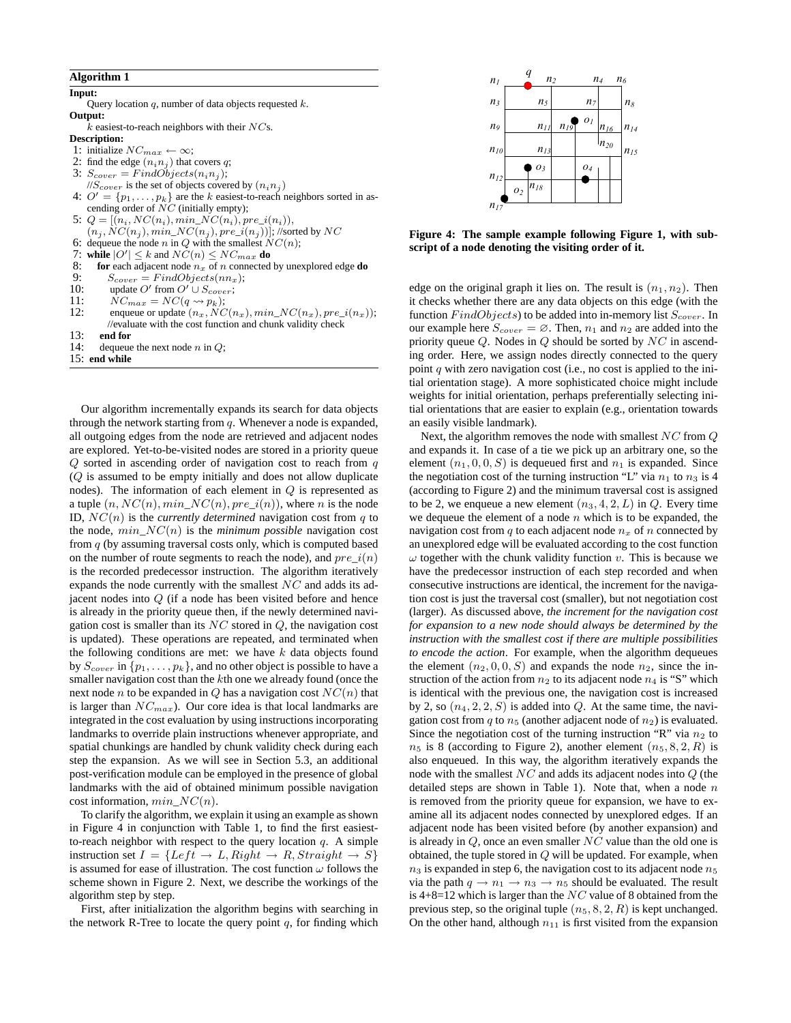#### **Algorithm 1**

| Input:                                                                            |  |  |  |
|-----------------------------------------------------------------------------------|--|--|--|
| Query location q, number of data objects requested $k$ .                          |  |  |  |
| Output:                                                                           |  |  |  |
| $k$ easiest-to-reach neighbors with their $NCs$ .                                 |  |  |  |
| Description:                                                                      |  |  |  |
| 1: initialize $NC_{max} \leftarrow \infty$ ;                                      |  |  |  |
| 2: find the edge $(n_i n_j)$ that covers q;                                       |  |  |  |
| 3: $S_{cover} = FindObjects(n_in_i);$                                             |  |  |  |
| $\sqrt{S_{cover}}$ is the set of objects covered by $(n_i n_j)$                   |  |  |  |
| 4: $O' = \{p_1, \ldots, p_k\}$ are the k easiest-to-reach neighbors sorted in as- |  |  |  |
| cending order of $NC$ (initially empty);                                          |  |  |  |
| 5: $Q = [(n_i, NC(n_i), min_NC(n_i), pre_i(n_i)),$                                |  |  |  |
| $(n_i, NC(n_i), min_NC(n_i), pre_i(n_i))]$ ; //sorted by NC                       |  |  |  |
| 6: dequeue the node <i>n</i> in <i>Q</i> with the smallest $NC(n)$ ;              |  |  |  |
| 7: while $ O'  \le k$ and $NC(n) \le NC_{max}$ do                                 |  |  |  |
| 8:<br>for each adjacent node $n_x$ of n connected by unexplored edge do           |  |  |  |
| 9:<br>$S_{cover} = FindObjects(nn_x);$                                            |  |  |  |
| 10:<br>update O' from $O' \cup S_{cover}$ ;                                       |  |  |  |
| $NC_{max} = NC(q \rightsquigarrow p_k);$<br>11:                                   |  |  |  |
| 12:<br>enqueue or update $(n_x, NC(n_x), min_NC(n_x), pre_i(n_x));$               |  |  |  |
| //evaluate with the cost function and chunk validity check                        |  |  |  |
| 13:<br>end for                                                                    |  |  |  |
| 14:<br>dequeue the next node $n$ in $Q$ ;                                         |  |  |  |
| 15: end while                                                                     |  |  |  |

Our algorithm incrementally expands its search for data objects through the network starting from  $q$ . Whenever a node is expanded, all outgoing edges from the node are retrieved and adjacent nodes are explored. Yet-to-be-visited nodes are stored in a priority queue  $Q$  sorted in ascending order of navigation cost to reach from  $q$  $(Q)$  is assumed to be empty initially and does not allow duplicate nodes). The information of each element in  $Q$  is represented as a tuple  $(n, NC(n), min_NC(n), pre\_i(n))$ , where n is the node ID,  $NC(n)$  is the *currently determined* navigation cost from  $q$  to the node,  $min_N C(n)$  is the *minimum possible* navigation cost from  $q$  (by assuming traversal costs only, which is computed based on the number of route segments to reach the node), and  $pre\_i(n)$ is the recorded predecessor instruction. The algorithm iteratively expands the node currently with the smallest  $NC$  and adds its adjacent nodes into Q (if a node has been visited before and hence is already in the priority queue then, if the newly determined navigation cost is smaller than its  $NC$  stored in  $Q$ , the navigation cost is updated). These operations are repeated, and terminated when the following conditions are met: we have  $k$  data objects found by  $S_{cover}$  in  $\{p_1, \ldots, p_k\}$ , and no other object is possible to have a smaller navigation cost than the kth one we already found (once the next node *n* to be expanded in Q has a navigation cost  $NC(n)$  that is larger than  $NC_{max}$ ). Our core idea is that local landmarks are integrated in the cost evaluation by using instructions incorporating landmarks to override plain instructions whenever appropriate, and spatial chunkings are handled by chunk validity check during each step the expansion. As we will see in Section 5.3, an additional post-verification module can be employed in the presence of global landmarks with the aid of obtained minimum possible navigation cost information,  $min_N C(n)$ .

To clarify the algorithm, we explain it using an example as shown in Figure 4 in conjunction with Table 1, to find the first easiestto-reach neighbor with respect to the query location  $q$ . A simple instruction set  $I = \{Left \rightarrow L, Right \rightarrow R, Straight \rightarrow S\}$ is assumed for ease of illustration. The cost function  $\omega$  follows the scheme shown in Figure 2. Next, we describe the workings of the algorithm step by step.

First, after initialization the algorithm begins with searching in the network R-Tree to locate the query point  $q$ , for finding which



**Figure 4: The sample example following Figure 1, with subscript of a node denoting the visiting order of it.**

edge on the original graph it lies on. The result is  $(n_1, n_2)$ . Then it checks whether there are any data objects on this edge (with the function  $FindObjects$ ) to be added into in-memory list  $S_{cover}$ . In our example here  $S_{cover} = \emptyset$ . Then,  $n_1$  and  $n_2$  are added into the priority queue Q. Nodes in Q should be sorted by NC in ascending order. Here, we assign nodes directly connected to the query point  $q$  with zero navigation cost (i.e., no cost is applied to the initial orientation stage). A more sophisticated choice might include weights for initial orientation, perhaps preferentially selecting initial orientations that are easier to explain (e.g., orientation towards an easily visible landmark).

Next, the algorithm removes the node with smallest NC from Q and expands it. In case of a tie we pick up an arbitrary one, so the element  $(n_1, 0, 0, S)$  is dequeued first and  $n_1$  is expanded. Since the negotiation cost of the turning instruction "L" via  $n_1$  to  $n_3$  is 4 (according to Figure 2) and the minimum traversal cost is assigned to be 2, we enqueue a new element  $(n_3, 4, 2, L)$  in Q. Every time we dequeue the element of a node  $n$  which is to be expanded, the navigation cost from  $q$  to each adjacent node  $n_x$  of  $n$  connected by an unexplored edge will be evaluated according to the cost function  $\omega$  together with the chunk validity function v. This is because we have the predecessor instruction of each step recorded and when consecutive instructions are identical, the increment for the navigation cost is just the traversal cost (smaller), but not negotiation cost (larger). As discussed above, *the increment for the navigation cost for expansion to a new node should always be determined by the instruction with the smallest cost if there are multiple possibilities to encode the action*. For example, when the algorithm dequeues the element  $(n_2, 0, 0, S)$  and expands the node  $n_2$ , since the instruction of the action from  $n_2$  to its adjacent node  $n_4$  is "S" which is identical with the previous one, the navigation cost is increased by 2, so  $(n_4, 2, 2, S)$  is added into Q. At the same time, the navigation cost from  $q$  to  $n_5$  (another adjacent node of  $n_2$ ) is evaluated. Since the negotiation cost of the turning instruction "R" via  $n_2$  to  $n_5$  is 8 (according to Figure 2), another element  $(n_5, 8, 2, R)$  is also enqueued. In this way, the algorithm iteratively expands the node with the smallest NC and adds its adjacent nodes into Q (the detailed steps are shown in Table 1). Note that, when a node  $n$ is removed from the priority queue for expansion, we have to examine all its adjacent nodes connected by unexplored edges. If an adjacent node has been visited before (by another expansion) and is already in  $Q$ , once an even smaller  $NC$  value than the old one is obtained, the tuple stored in  $Q$  will be updated. For example, when  $n_3$  is expanded in step 6, the navigation cost to its adjacent node  $n_5$ via the path  $q \to n_1 \to n_3 \to n_5$  should be evaluated. The result is  $4+8=12$  which is larger than the NC value of 8 obtained from the previous step, so the original tuple  $(n_5, 8, 2, R)$  is kept unchanged. On the other hand, although  $n_{11}$  is first visited from the expansion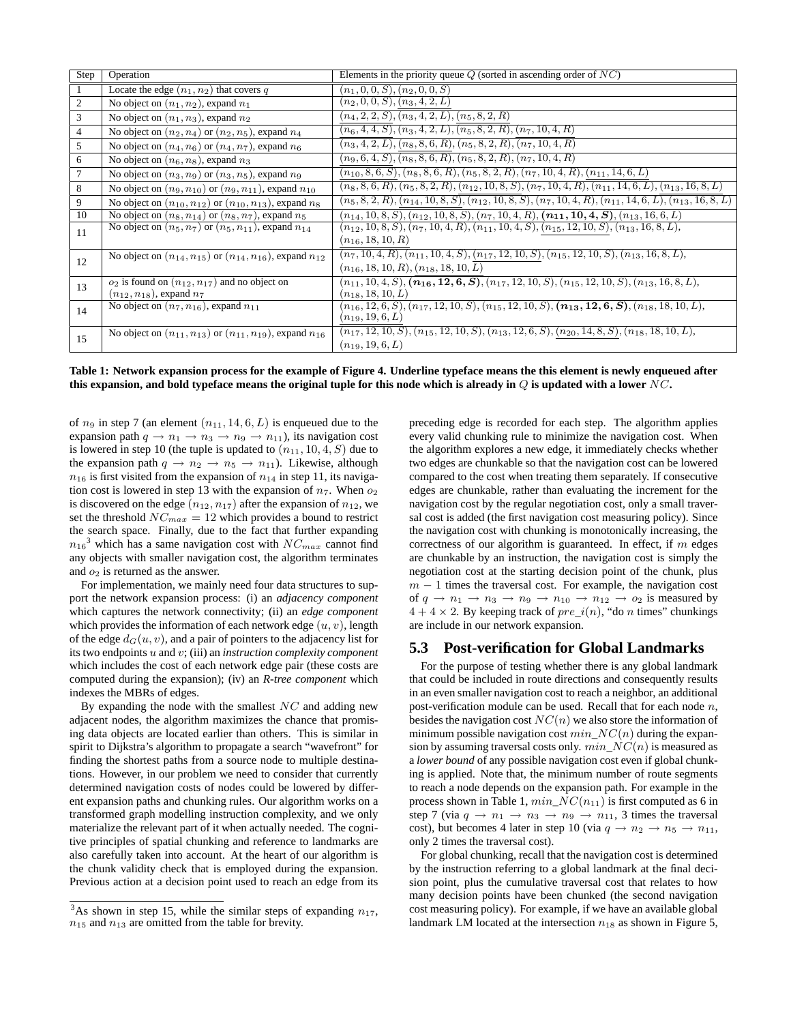| Step | Operation                                                               | Elements in the priority queue $Q$ (sorted in ascending order of $NC$ )                                           |
|------|-------------------------------------------------------------------------|-------------------------------------------------------------------------------------------------------------------|
|      | Locate the edge $(n_1, n_2)$ that covers q                              | $(n_1, 0, 0, S), (n_2, 0, 0, S)$                                                                                  |
| 2    | No object on $(n_1, n_2)$ , expand $n_1$                                | $(n_2, 0, 0, S), (n_3, 4, 2, L)$                                                                                  |
| 3    | No object on $(n_1, n_3)$ , expand $n_2$                                | $(n_4, 2, 2, S), (n_3, 4, 2, L), (n_5, 8, 2, R)$                                                                  |
| 4    | No object on $(n_2, n_4)$ or $(n_2, n_5)$ , expand $n_4$                | $(n_6, 4, 4, S), (n_3, 4, 2, L), (n_5, 8, 2, R), (n_7, 10, A, R)$                                                 |
| 5    | No object on $(n_4, n_6)$ or $(n_4, n_7)$ , expand $n_6$                | $(n_3, 4, 2, L), (n_8, 8, 6, R), (n_5, 8, 2, R), (n_7, 10, 4, R)$                                                 |
| 6    | No object on $(n_6, n_8)$ , expand $n_3$                                | $(n_9, 6, 4, S), (n_8, 8, 6, R), (n_5, 8, 2, R), (n_7, 10, 4, R)$                                                 |
| 7    | No object on $(n_3, n_9)$ or $(n_3, n_5)$ , expand $n_9$                | $(n_{10}, 8, 6, S), (n_8, 8, 6, R), (n_5, 8, 2, R), (n_7, 10, 4, R), (n_{11}, 14, 6, L)$                          |
| 8    | No object on $(n_9, n_{10})$ or $(n_9, n_{11})$ , expand $n_{10}$       | $(n_8, 8, 6, R), (n_5, 8, 2, R), (n_{12}, 10, 8, S), (n_7, 10, 4, R), (n_{11}, 14, 6, L), (n_{13}, 16, 8, L)$     |
| 9    | No object on $(n_{10}, n_{12})$ or $(n_{10}, n_{13})$ , expand $n_8$    | $(n_5, 8, 2, R), (n_{14}, 10, 8, S), (n_{12}, 10, 8, S), (n_7, 10, 4, R), (n_{11}, 14, 6, L), (n_{13}, 16, 8, L)$ |
| 10   | No object on $(n_8, n_{14})$ or $(n_8, n_7)$ , expand $n_5$             | $(n_{14}, 10, 8, S), (n_{12}, 10, 8, S), (n_7, 10, 4, R), (n_{11}, 10, 4, S), (n_{13}, 16, 6, L)$                 |
| 11   | No object on $(n_5, n_7)$ or $(n_5, n_{11})$ , expand $n_{14}$          | $(n_{12}, 10, 8, S), (n_7, 10, 4, R), (n_{11}, 10, 4, S), (n_{15}, 12, 10, S), (n_{13}, 16, 8, L),$               |
|      |                                                                         | $(n_{16}, 18, 10, R)$                                                                                             |
| 12   | No object on $(n_{14}, n_{15})$ or $(n_{14}, n_{16})$ , expand $n_{12}$ | $(n_7, 10, 4, R), (n_{11}, 10, 4, S), (n_{17}, 12, 10, S), (n_{15}, 12, 10, S), (n_{13}, 16, 8, L),$              |
|      |                                                                         | $(n_{16}, 18, 10, R), (n_{18}, 18, 10, L)$                                                                        |
| 13   | $o_2$ is found on $(n_{12}, n_{17})$ and no object on                   | $(n_{11}, 10, 4, S), (n_{16}, 12, 6, S), (n_{17}, 12, 10, S), (n_{15}, 12, 10, S), (n_{13}, 16, 8, L),$           |
|      | $(n_{12}, n_{18})$ , expand $n_7$                                       | $(n_{18}, 18, 10, L)$                                                                                             |
| 14   | No object on $(n_7, n_{16})$ , expand $n_{11}$                          | $(n_{16}, 12, 6, S), (n_{17}, 12, 10, S), (n_{15}, 12, 10, S), (n_{13}, 12, 6, S), (n_{18}, 18, 10, L),$          |
|      |                                                                         | $(n_{19}, 19, 6, L)$                                                                                              |
| 15   | No object on $(n_{11}, n_{13})$ or $(n_{11}, n_{19})$ , expand $n_{16}$ | $(n_{17}, 12, 10, S), (n_{15}, 12, 10, S), (n_{13}, 12, 6, S), (n_{20}, 14, 8, S), (n_{18}, 18, 10, L),$          |
|      |                                                                         | $(n_{19}, 19, 6, L)$                                                                                              |

**Table 1: Network expansion process for the example of Figure 4. Underline typeface means the this element is newly enqueued after this expansion, and bold typeface means the original tuple for this node which is already in** Q **is updated with a lower** NC**.**

of  $n_9$  in step 7 (an element  $(n_{11}, 14, 6, L)$  is enqueued due to the expansion path  $q \rightarrow n_1 \rightarrow n_3 \rightarrow n_9 \rightarrow n_{11}$ ), its navigation cost is lowered in step 10 (the tuple is updated to  $(n_{11}, 10, 4, S)$  due to the expansion path  $q \to n_2 \to n_5 \to n_{11}$ ). Likewise, although  $n_{16}$  is first visited from the expansion of  $n_{14}$  in step 11, its navigation cost is lowered in step 13 with the expansion of  $n_7$ . When  $o_2$ is discovered on the edge  $(n_{12}, n_{17})$  after the expansion of  $n_{12}$ , we set the threshold  $NC_{max} = 12$  which provides a bound to restrict the search space. Finally, due to the fact that further expanding  $n_{16}$ <sup>3</sup> which has a same navigation cost with  $NC_{max}$  cannot find any objects with smaller navigation cost, the algorithm terminates and  $o_2$  is returned as the answer.

For implementation, we mainly need four data structures to support the network expansion process: (i) an *adjacency component* which captures the network connectivity; (ii) an *edge component* which provides the information of each network edge  $(u, v)$ , length of the edge  $d_G(u, v)$ , and a pair of pointers to the adjacency list for its two endpoints u and v; (iii) an *instruction complexity component* which includes the cost of each network edge pair (these costs are computed during the expansion); (iv) an *R-tree component* which indexes the MBRs of edges.

By expanding the node with the smallest  $NC$  and adding new adjacent nodes, the algorithm maximizes the chance that promising data objects are located earlier than others. This is similar in spirit to Dijkstra's algorithm to propagate a search "wavefront" for finding the shortest paths from a source node to multiple destinations. However, in our problem we need to consider that currently determined navigation costs of nodes could be lowered by different expansion paths and chunking rules. Our algorithm works on a transformed graph modelling instruction complexity, and we only materialize the relevant part of it when actually needed. The cognitive principles of spatial chunking and reference to landmarks are also carefully taken into account. At the heart of our algorithm is the chunk validity check that is employed during the expansion. Previous action at a decision point used to reach an edge from its

preceding edge is recorded for each step. The algorithm applies every valid chunking rule to minimize the navigation cost. When the algorithm explores a new edge, it immediately checks whether two edges are chunkable so that the navigation cost can be lowered compared to the cost when treating them separately. If consecutive edges are chunkable, rather than evaluating the increment for the navigation cost by the regular negotiation cost, only a small traversal cost is added (the first navigation cost measuring policy). Since the navigation cost with chunking is monotonically increasing, the correctness of our algorithm is guaranteed. In effect, if  $m$  edges are chunkable by an instruction, the navigation cost is simply the negotiation cost at the starting decision point of the chunk, plus  $m - 1$  times the traversal cost. For example, the navigation cost of  $q \rightarrow n_1 \rightarrow n_3 \rightarrow n_9 \rightarrow n_{10} \rightarrow n_{12} \rightarrow o_2$  is measured by  $4+4\times 2.$  By keeping track of  $pre\_i(n),$  "do  $n$  times" chunkings are include in our network expansion.

#### **5.3 Post-verification for Global Landmarks**

For the purpose of testing whether there is any global landmark that could be included in route directions and consequently results in an even smaller navigation cost to reach a neighbor, an additional post-verification module can be used. Recall that for each node  $n$ , besides the navigation cost  $NC(n)$  we also store the information of minimum possible navigation cost  $min_N C(n)$  during the expansion by assuming traversal costs only.  $min\_NC(n)$  is measured as a *lower bound* of any possible navigation cost even if global chunking is applied. Note that, the minimum number of route segments to reach a node depends on the expansion path. For example in the process shown in Table 1,  $min_NC(n_{11})$  is first computed as 6 in step 7 (via  $q \rightarrow n_1 \rightarrow n_3 \rightarrow n_9 \rightarrow n_{11}$ , 3 times the traversal cost), but becomes 4 later in step 10 (via  $q \to n_2 \to n_5 \to n_{11}$ , only 2 times the traversal cost).

For global chunking, recall that the navigation cost is determined by the instruction referring to a global landmark at the final decision point, plus the cumulative traversal cost that relates to how many decision points have been chunked (the second navigation cost measuring policy). For example, if we have an available global landmark LM located at the intersection  $n_{18}$  as shown in Figure 5,

<sup>&</sup>lt;sup>3</sup>As shown in step 15, while the similar steps of expanding  $n_{17}$ ,  $n_{15}$  and  $n_{13}$  are omitted from the table for brevity.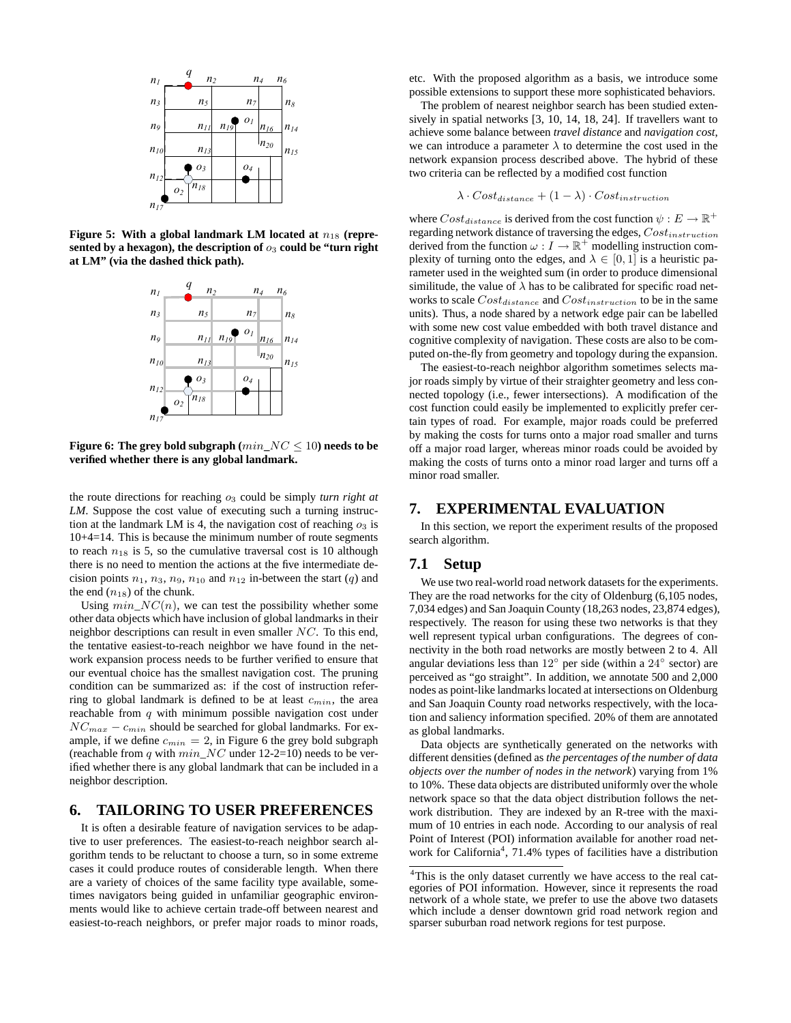

**Figure 5: With a global landmark LM located at**  $n_{18}$  **(repre**sented by a hexagon), the description of  $o_3$  could be "turn right **at LM" (via the dashed thick path).**



**Figure 6: The grey bold subgraph**  $(min_NC \leq 10)$  needs to be **verified whether there is any global landmark.**

the route directions for reaching  $o_3$  could be simply *turn right at LM*. Suppose the cost value of executing such a turning instruction at the landmark LM is 4, the navigation cost of reaching  $o_3$  is 10+4=14. This is because the minimum number of route segments to reach  $n_{18}$  is 5, so the cumulative traversal cost is 10 although there is no need to mention the actions at the five intermediate decision points  $n_1$ ,  $n_3$ ,  $n_9$ ,  $n_{10}$  and  $n_{12}$  in-between the start  $(q)$  and the end  $(n_{18})$  of the chunk.

Using  $min\_NC(n)$ , we can test the possibility whether some other data objects which have inclusion of global landmarks in their neighbor descriptions can result in even smaller NC. To this end, the tentative easiest-to-reach neighbor we have found in the network expansion process needs to be further verified to ensure that our eventual choice has the smallest navigation cost. The pruning condition can be summarized as: if the cost of instruction referring to global landmark is defined to be at least  $c_{min}$ , the area reachable from  $q$  with minimum possible navigation cost under  $NC_{max} - c_{min}$  should be searched for global landmarks. For example, if we define  $c_{min} = 2$ , in Figure 6 the grey bold subgraph (reachable from q with  $min\_NC$  under 12-2=10) needs to be verified whether there is any global landmark that can be included in a neighbor description.

# **6. TAILORING TO USER PREFERENCES**

It is often a desirable feature of navigation services to be adaptive to user preferences. The easiest-to-reach neighbor search algorithm tends to be reluctant to choose a turn, so in some extreme cases it could produce routes of considerable length. When there are a variety of choices of the same facility type available, sometimes navigators being guided in unfamiliar geographic environments would like to achieve certain trade-off between nearest and easiest-to-reach neighbors, or prefer major roads to minor roads,

etc. With the proposed algorithm as a basis, we introduce some possible extensions to support these more sophisticated behaviors.

The problem of nearest neighbor search has been studied extensively in spatial networks [3, 10, 14, 18, 24]. If travellers want to achieve some balance between *travel distance* and *navigation cost*, we can introduce a parameter  $\lambda$  to determine the cost used in the network expansion process described above. The hybrid of these two criteria can be reflected by a modified cost function

$$
\lambda \cdot Cost_{distance} + (1 - \lambda) \cdot Cost_{instruction}
$$

where  $Cost_{distance}$  is derived from the cost function  $\psi : E \to \mathbb{R}^+$ regarding network distance of traversing the edges,  $Cost_{instruction}$ derived from the function  $\omega: I \to \mathbb{R}^+$  modelling instruction complexity of turning onto the edges, and  $\lambda \in [0, 1]$  is a heuristic parameter used in the weighted sum (in order to produce dimensional similitude, the value of  $\lambda$  has to be calibrated for specific road networks to scale  $Cost_{distance}$  and  $Cost_{instruction}$  to be in the same units). Thus, a node shared by a network edge pair can be labelled with some new cost value embedded with both travel distance and cognitive complexity of navigation. These costs are also to be computed on-the-fly from geometry and topology during the expansion.

The easiest-to-reach neighbor algorithm sometimes selects major roads simply by virtue of their straighter geometry and less connected topology (i.e., fewer intersections). A modification of the cost function could easily be implemented to explicitly prefer certain types of road. For example, major roads could be preferred by making the costs for turns onto a major road smaller and turns off a major road larger, whereas minor roads could be avoided by making the costs of turns onto a minor road larger and turns off a minor road smaller.

## **7. EXPERIMENTAL EVALUATION**

In this section, we report the experiment results of the proposed search algorithm.

#### **7.1 Setup**

We use two real-world road network datasets for the experiments. They are the road networks for the city of Oldenburg (6,105 nodes, 7,034 edges) and San Joaquin County (18,263 nodes, 23,874 edges), respectively. The reason for using these two networks is that they well represent typical urban configurations. The degrees of connectivity in the both road networks are mostly between 2 to 4. All angular deviations less than  $12^{\circ}$  per side (within a  $24^{\circ}$  sector) are perceived as "go straight". In addition, we annotate 500 and 2,000 nodes as point-like landmarks located at intersections on Oldenburg and San Joaquin County road networks respectively, with the location and saliency information specified. 20% of them are annotated as global landmarks.

Data objects are synthetically generated on the networks with different densities (defined as *the percentages of the number of data objects over the number of nodes in the network*) varying from 1% to 10%. These data objects are distributed uniformly over the whole network space so that the data object distribution follows the network distribution. They are indexed by an R-tree with the maximum of 10 entries in each node. According to our analysis of real Point of Interest (POI) information available for another road network for California<sup>4</sup>, 71.4% types of facilities have a distribution

<sup>4</sup>This is the only dataset currently we have access to the real categories of POI information. However, since it represents the road network of a whole state, we prefer to use the above two datasets which include a denser downtown grid road network region and sparser suburban road network regions for test purpose.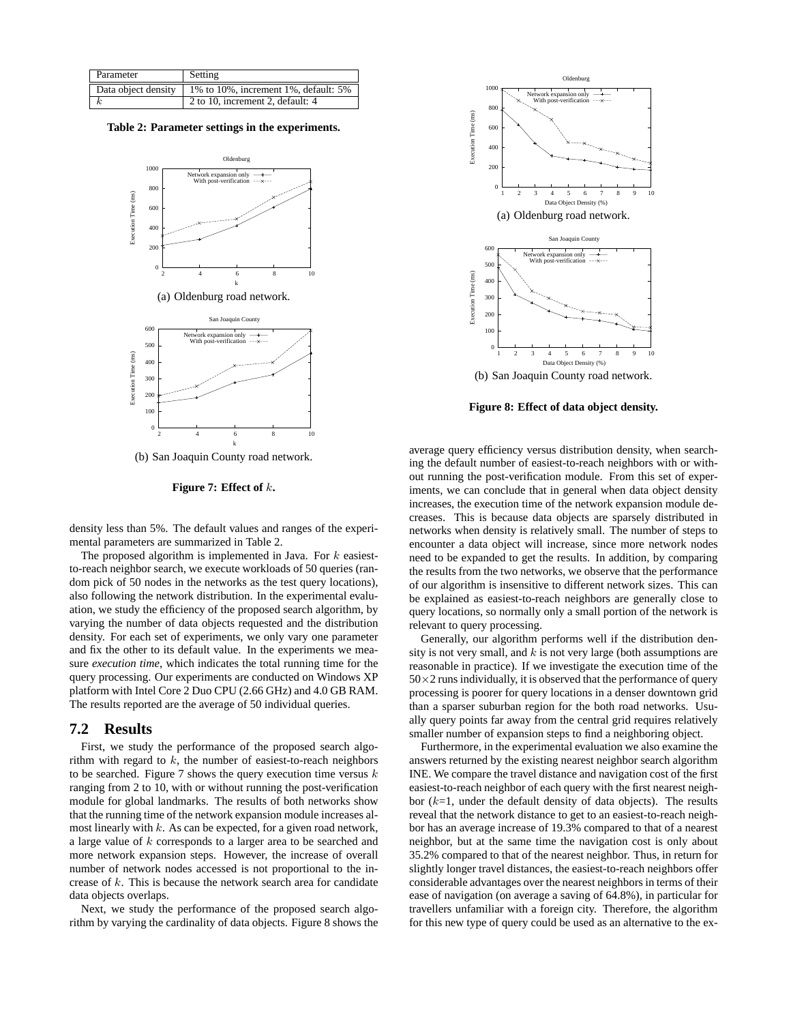| Parameter | Setting                                                    |
|-----------|------------------------------------------------------------|
|           | Data object density   1% to 10%, increment 1%, default: 5% |
|           | 2 to 10, increment 2, default: 4                           |





(b) San Joaquin County road network.



density less than 5%. The default values and ranges of the experimental parameters are summarized in Table 2.

The proposed algorithm is implemented in Java. For  $k$  easiestto-reach neighbor search, we execute workloads of 50 queries (random pick of 50 nodes in the networks as the test query locations), also following the network distribution. In the experimental evaluation, we study the efficiency of the proposed search algorithm, by varying the number of data objects requested and the distribution density. For each set of experiments, we only vary one parameter and fix the other to its default value. In the experiments we measure *execution time*, which indicates the total running time for the query processing. Our experiments are conducted on Windows XP platform with Intel Core 2 Duo CPU (2.66 GHz) and 4.0 GB RAM. The results reported are the average of 50 individual queries.

#### **7.2 Results**

First, we study the performance of the proposed search algorithm with regard to  $k$ , the number of easiest-to-reach neighbors to be searched. Figure 7 shows the query execution time versus  $k$ ranging from 2 to 10, with or without running the post-verification module for global landmarks. The results of both networks show that the running time of the network expansion module increases almost linearly with  $k$ . As can be expected, for a given road network, a large value of k corresponds to a larger area to be searched and more network expansion steps. However, the increase of overall number of network nodes accessed is not proportional to the increase of k. This is because the network search area for candidate data objects overlaps.

Next, we study the performance of the proposed search algorithm by varying the cardinality of data objects. Figure 8 shows the



**Figure 8: Effect of data object density.**

average query efficiency versus distribution density, when searching the default number of easiest-to-reach neighbors with or without running the post-verification module. From this set of experiments, we can conclude that in general when data object density increases, the execution time of the network expansion module decreases. This is because data objects are sparsely distributed in networks when density is relatively small. The number of steps to encounter a data object will increase, since more network nodes need to be expanded to get the results. In addition, by comparing the results from the two networks, we observe that the performance of our algorithm is insensitive to different network sizes. This can be explained as easiest-to-reach neighbors are generally close to query locations, so normally only a small portion of the network is relevant to query processing.

Generally, our algorithm performs well if the distribution density is not very small, and  $k$  is not very large (both assumptions are reasonable in practice). If we investigate the execution time of the  $50\times2$  runs individually, it is observed that the performance of query processing is poorer for query locations in a denser downtown grid than a sparser suburban region for the both road networks. Usually query points far away from the central grid requires relatively smaller number of expansion steps to find a neighboring object.

Furthermore, in the experimental evaluation we also examine the answers returned by the existing nearest neighbor search algorithm INE. We compare the travel distance and navigation cost of the first easiest-to-reach neighbor of each query with the first nearest neighbor  $(k=1$ , under the default density of data objects). The results reveal that the network distance to get to an easiest-to-reach neighbor has an average increase of 19.3% compared to that of a nearest neighbor, but at the same time the navigation cost is only about 35.2% compared to that of the nearest neighbor. Thus, in return for slightly longer travel distances, the easiest-to-reach neighbors offer considerable advantages over the nearest neighbors in terms of their ease of navigation (on average a saving of 64.8%), in particular for travellers unfamiliar with a foreign city. Therefore, the algorithm for this new type of query could be used as an alternative to the ex